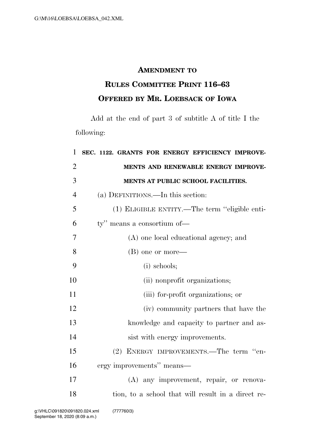## **AMENDMENT TO**

## **RULES COMMITTEE PRINT 116–63 OFFERED BY MR. LOEBSACK OF IOWA**

Add at the end of part 3 of subtitle A of title I the following:

| 1              | SEC. 1122. GRANTS FOR ENERGY EFFICIENCY IMPROVE-   |
|----------------|----------------------------------------------------|
| $\overline{2}$ | MENTS AND RENEWABLE ENERGY IMPROVE-                |
| 3              | MENTS AT PUBLIC SCHOOL FACILITIES.                 |
| $\overline{4}$ | (a) DEFINITIONS.—In this section:                  |
| 5              | (1) ELIGIBLE ENTITY.—The term "eligible enti-      |
| 6              | ty" means a consortium of-                         |
| 7              | (A) one local educational agency; and              |
| 8              | (B) one or more—                                   |
| 9              | $(i)$ schools;                                     |
| 10             | (ii) nonprofit organizations;                      |
| 11             | (iii) for-profit organizations; or                 |
| 12             | (iv) community partners that have the              |
| 13             | knowledge and capacity to partner and as-          |
| 14             | sist with energy improvements.                     |
| 15             | (2) ENERGY IMPROVEMENTS.—The term "en-             |
| 16             | ergy improvements" means—                          |
| 17             | (A) any improvement, repair, or renova-            |
| 18             | tion, to a school that will result in a direct re- |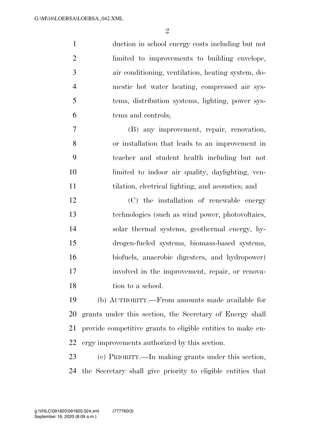duction in school energy costs including but not limited to improvements to building envelope, air conditioning, ventilation, heating system, do- mestic hot water heating, compressed air sys- tems, distribution systems, lighting, power sys-tems and controls;

 (B) any improvement, repair, renovation, or installation that leads to an improvement in teacher and student health including but not limited to indoor air quality, daylighting, ven-tilation, electrical lighting, and acoustics; and

 (C) the installation of renewable energy technologies (such as wind power, photovoltaics, solar thermal systems, geothermal energy, hy- drogen-fueled systems, biomass-based systems, biofuels, anaerobic digesters, and hydropower) involved in the improvement, repair, or renova-18 tion to a school.

 (b) AUTHORITY.—From amounts made available for grants under this section, the Secretary of Energy shall provide competitive grants to eligible entities to make en-ergy improvements authorized by this section.

 (c) PRIORITY.—In making grants under this section, the Secretary shall give priority to eligible entities that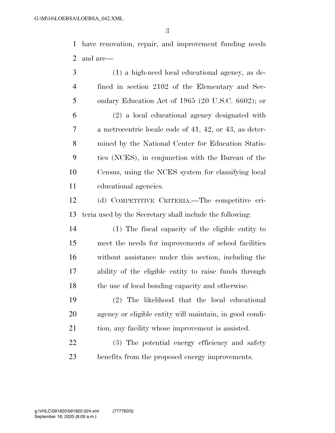have renovation, repair, and improvement funding needs and are—

 (1) a high-need local educational agency, as de- fined in section 2102 of the Elementary and Sec- ondary Education Act of 1965 (20 U.S.C. 6602); or (2) a local educational agency designated with a metrocentric locale code of 41, 42, or 43, as deter- mined by the National Center for Education Statis- tics (NCES), in conjunction with the Bureau of the Census, using the NCES system for classifying local educational agencies.

 (d) COMPETITIVE CRITERIA.—The competitive cri-teria used by the Secretary shall include the following:

 (1) The fiscal capacity of the eligible entity to meet the needs for improvements of school facilities without assistance under this section, including the ability of the eligible entity to raise funds through 18 the use of local bonding capacity and otherwise.

 (2) The likelihood that the local educational agency or eligible entity will maintain, in good condi-tion, any facility whose improvement is assisted.

 (3) The potential energy efficiency and safety benefits from the proposed energy improvements.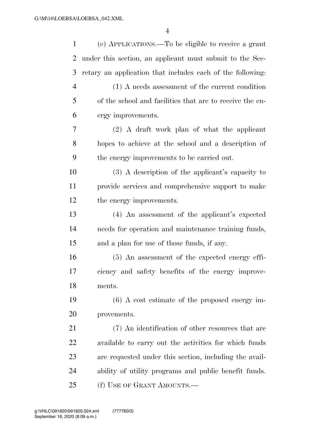| $\mathbf{1}$   | (e) APPLICATIONS.—To be eligible to receive a grant        |
|----------------|------------------------------------------------------------|
| 2              | under this section, an applicant must submit to the Sec-   |
| 3              | retary an application that includes each of the following: |
| $\overline{4}$ | $(1)$ A needs assessment of the current condition          |
| 5              | of the school and facilities that are to receive the en-   |
| 6              | ergy improvements.                                         |
| 7              | $(2)$ A draft work plan of what the applicant              |
| 8              | hopes to achieve at the school and a description of        |
| 9              | the energy improvements to be carried out.                 |
| 10             | $(3)$ A description of the applicant's capacity to         |
| 11             | provide services and comprehensive support to make         |
| 12             | the energy improvements.                                   |
| 13             | (4) An assessment of the applicant's expected              |
| 14             | needs for operation and maintenance training funds,        |
| 15             | and a plan for use of those funds, if any.                 |
| 16             | $(5)$ An assessment of the expected energy effi-           |
| 17             | ciency and safety benefits of the energy improve-          |
| 18             | ments.                                                     |
| 19             | $(6)$ A cost estimate of the proposed energy im-           |
| 20             | provements.                                                |
| 21             | (7) An identification of other resources that are          |
| 22             | available to carry out the activities for which funds      |
| 23             | are requested under this section, including the avail-     |
| 24             | ability of utility programs and public benefit funds.      |
| 25             | (f) USE OF GRANT AMOUNTS.—                                 |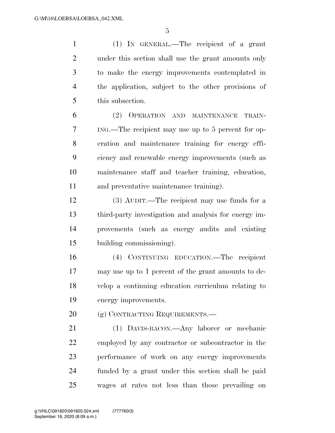(1) IN GENERAL.—The recipient of a grant under this section shall use the grant amounts only to make the energy improvements contemplated in the application, subject to the other provisions of this subsection.

 (2) OPERATION AND MAINTENANCE TRAIN- ING.—The recipient may use up to 5 percent for op- eration and maintenance training for energy effi- ciency and renewable energy improvements (such as maintenance staff and teacher training, education, and preventative maintenance training).

 (3) AUDIT.—The recipient may use funds for a third-party investigation and analysis for energy im- provements (such as energy audits and existing building commissioning).

 (4) CONTINUING EDUCATION.—The recipient may use up to 1 percent of the grant amounts to de- velop a continuing education curriculum relating to energy improvements.

20 (g) CONTRACTING REQUIREMENTS.—

 (1) DAVIS-BACON.—Any laborer or mechanic employed by any contractor or subcontractor in the performance of work on any energy improvements funded by a grant under this section shall be paid wages at rates not less than those prevailing on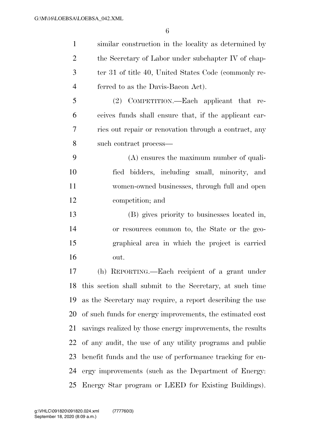similar construction in the locality as determined by 2 the Secretary of Labor under subchapter IV of chap- ter 31 of title 40, United States Code (commonly re- ferred to as the Davis-Bacon Act). (2) COMPETITION.—Each applicant that re- ceives funds shall ensure that, if the applicant car- ries out repair or renovation through a contract, any such contract process— (A) ensures the maximum number of quali- fied bidders, including small, minority, and women-owned businesses, through full and open competition; and (B) gives priority to businesses located in, or resources common to, the State or the geo- graphical area in which the project is carried out. (h) REPORTING.—Each recipient of a grant under this section shall submit to the Secretary, at such time as the Secretary may require, a report describing the use of such funds for energy improvements, the estimated cost savings realized by those energy improvements, the results of any audit, the use of any utility programs and public benefit funds and the use of performance tracking for en-

 ergy improvements (such as the Department of Energy: Energy Star program or LEED for Existing Buildings).